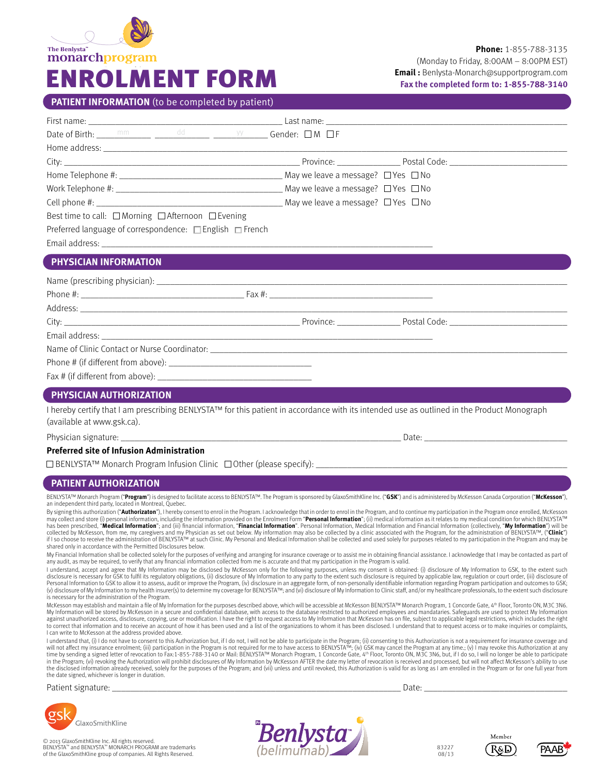

## **PATIENT INFORMATION** (to be completed by patient)

| Work Telephone #: $\_\_\_\_\_\_\_\_\_\_\_\_\_\$ May we leave a message? $\Box$ Yes $\Box$ No                                                                              |       |
|---------------------------------------------------------------------------------------------------------------------------------------------------------------------------|-------|
|                                                                                                                                                                           |       |
| Best time to call: $\Box$ Morning $\Box$ Afternoon $\Box$ Evening                                                                                                         |       |
| Preferred language of correspondence: □ English □ French                                                                                                                  |       |
|                                                                                                                                                                           |       |
| <b>PHYSICIAN INFORMATION</b>                                                                                                                                              |       |
|                                                                                                                                                                           |       |
|                                                                                                                                                                           |       |
|                                                                                                                                                                           |       |
|                                                                                                                                                                           |       |
|                                                                                                                                                                           |       |
| Name of Clinic Contact or Nurse Coordinator: Name of Clinical Action of Clinical Action of Clinic Contact or Nurse                                                        |       |
| Phone $\#$ (if different from above):                                                                                                                                     |       |
|                                                                                                                                                                           |       |
| PHYSICIAN AUTHORIZATION                                                                                                                                                   |       |
| I hereby certify that I am prescribing BENLYSTATM for this patient in accordance with its intended use as outlined in the Product Monograph<br>(available at www.gsk.ca). |       |
| Physician signature: __                                                                                                                                                   | Date: |

### **Preferred site of Infusion Administration**

 $\square$  BENLYSTA™ Monarch Program Infusion Clinic  $\square$  Other (please specify):

### **PATIENT AUTHORIZATION**

BENLYSTA™ Monarch Program ("**Program**") is designed to facilitate access to BENLYSTA™. The Program is sponsored by GlaxoSmithKline Inc. ("**GSK**") and is administered by McKesson Canada Corporation ("**McKesson**"),<br>an indep

By signing this authorization (**"Authorizaton"**), I hereby consent to enrol in the Program. I acknowledge that in order to enrol in the Program, and to continue my participation in the Program once enrolled, McKesson<br>may has been prescribed, "Medical Information"; and (iii) financial information, "Financial Information". Personal Information, Medical Information and Financial Information (collectively, "My Information") will be collected by McKesson, from me, my caregivers and my Physician as set out below. My information may also be collected by a clinic associated with the Program, for the administration of BENLYSTA™, ("**Clinic"**)<br>if I so choo shared only in accordance with the Permitted Disclosures below.

My Financial Information shall be collected solely for the purposes of verifying and arranging for insurance coverage or to assist me in obtaining financial assistance. I acknowledge that I may be contacted as part of any audit, as may be required, to verify that any financial information collected from me is accurate and that my participation in the Program is valid.

I understand, accept and agree that My Information may be disclosed by McKesson only for the following purposes, unless my consent is obtained: (i) disclosure of My Information to GSK, to the extent such disclosure is necessary for GSK to fulfil its regulatory obligations, (ii) disclosure of My Information to any party to the extent such disclosure is required by applicable law, regulation or court order, (iii) disclosure (v) disclosure of My Information to my health insurer(s) to determine my coverage for BENLYSTA™; and (vi) disclosure of My Information to Clinic staff, and/or my healthcare professionals, to the extent such disclosure is necessary for the administration of the Program.

McKesson may establish and maintain a file of My Information for the purposes described above, which will be accessible at McKesson BENLYSTA™ Monarch Program, 1 Concorde Gate, 4™ Floor, Toronto ON, M3C 3N6.<br>My Information against unauthorized access, disclosure, copying, use or modification. I have the right to request access to My Information that McKesson has on file, subject to applicable legal restrictions, which includes the right to correct that information and to receive an account of how it has been used and a list of the organizations to whom it has been disclosed. I understand that to request access or to make inquiries or complaints,<br>I can wri

I understand that, (i) I do not have to consent to this Authorization but, if I do not, I will not be able to participate in the Program; (ii) consenting to this Authorization is not a requirement for insurance coverage an will not affect my insurance enrolment; (iii) participation in the Program is not required for me to have access to BENLYSTA™; (iv) GSK may cancel the Program at any time.; (v) I may revoke this Authorization at any in th the disclosed information already received, solely for the purposes of the Program; and (vii) unless and until revoked, this Authorization is valid for as long as I am enrolled in the Program or for one full year from the date signed, whichever is longer in duration.

Patient signature: \_\_\_\_\_\_\_\_\_\_\_\_\_\_\_\_\_\_\_\_\_\_\_\_\_\_\_\_\_\_\_\_\_\_\_\_\_\_\_\_\_\_\_\_\_\_\_\_\_\_\_\_\_\_\_\_\_\_\_\_\_\_\_\_ Date: \_\_\_\_\_\_\_\_\_\_\_\_\_\_\_\_\_\_\_\_\_\_\_\_\_\_\_\_\_\_\_\_

GlaxoSmithKline